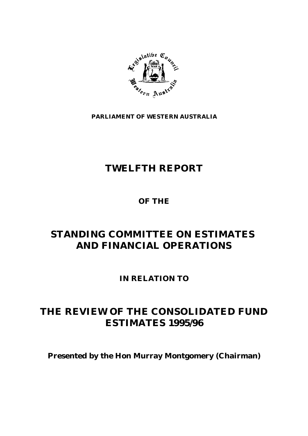

**PARLIAMENT OF WESTERN AUSTRALIA**

# **TWELFTH REPORT**

**OF THE**

# **STANDING COMMITTEE ON ESTIMATES AND FINANCIAL OPERATIONS**

**IN RELATION TO**

# **THE REVIEW OF THE CONSOLIDATED FUND ESTIMATES 1995/96**

**Presented by the Hon Murray Montgomery (Chairman)**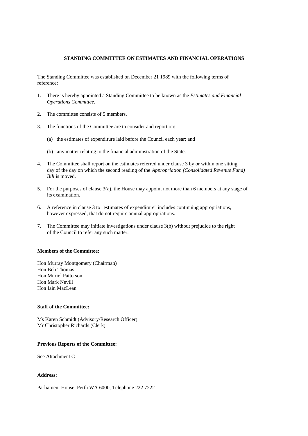#### **STANDING COMMITTEE ON ESTIMATES AND FINANCIAL OPERATIONS**

The Standing Committee was established on December 21 1989 with the following terms of reference:

- 1. There is hereby appointed a Standing Committee to be known as the *Estimates and Financial Operations Committee.*
- 2. The committee consists of 5 members.
- 3. The functions of the Committee are to consider and report on:
	- (a) the estimates of expenditure laid before the Council each year; and
	- (b) any matter relating to the financial administration of the State.
- 4. The Committee shall report on the estimates referred under clause 3 by or within one sitting day of the day on which the second reading of the *Appropriation (Consolidated Revenue Fund) Bill* is moved.
- 5. For the purposes of clause 3(a), the House may appoint not more than 6 members at any stage of its examination.
- 6. A reference in clause 3 to "estimates of expenditure" includes continuing appropriations, however expressed, that do not require annual appropriations.
- 7. The Committee may initiate investigations under clause 3(b) without prejudice to the right of the Council to refer any such matter.

#### **Members of the Committee:**

Hon Murray Montgomery (Chairman) Hon Bob Thomas Hon Muriel Patterson Hon Mark Nevill Hon Iain MacLean

### **Staff of the Committee:**

Ms Karen Schmidt (Advisory/Research Officer) Mr Christopher Richards (Clerk)

### **Previous Reports of the Committee:**

See Attachment C

#### **Address:**

Parliament House, Perth WA 6000, Telephone 222 7222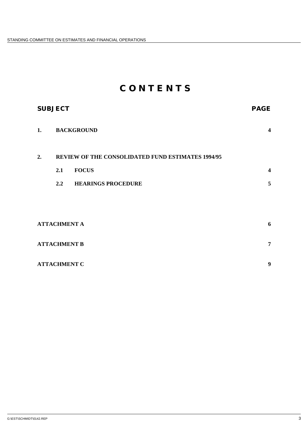# **C O N T E N T S**

| <b>SUBJECT</b>      |                                                   |                           | <b>PAGE</b>             |
|---------------------|---------------------------------------------------|---------------------------|-------------------------|
| 1.                  | <b>BACKGROUND</b>                                 |                           | $\overline{\mathbf{4}}$ |
| 2.                  | REVIEW OF THE CONSOLIDATED FUND ESTIMATES 1994/95 |                           |                         |
|                     | 2.1                                               | <b>FOCUS</b>              | $\overline{\mathbf{4}}$ |
|                     | 2.2                                               | <b>HEARINGS PROCEDURE</b> | 5                       |
|                     |                                                   |                           |                         |
| <b>ATTACHMENT A</b> |                                                   |                           | 6                       |
| <b>ATTACHMENT B</b> |                                                   |                           | $\overline{7}$          |
| <b>ATTACHMENT C</b> |                                                   |                           | 9                       |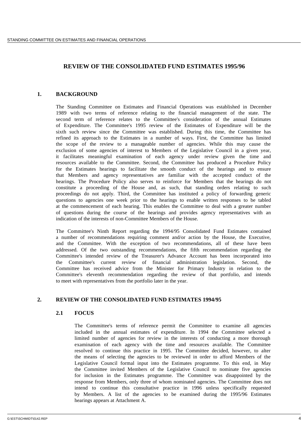# **REVIEW OF THE CONSOLIDATED FUND ESTIMATES 1995/96**

# **1. BACKGROUND**

The Standing Committee on Estimates and Financial Operations was established in December 1989 with two terms of reference relating to the financial management of the state. The second term of reference relates to the Committee's consideration of the annual Estimates of Expenditure. The Committee's 1995 review of the Estimates of Expenditure will be the sixth such review since the Committee was established. During this time, the Committee has refined its approach to the Estimates in a number of ways. First, the Committee has limited the scope of the review to a manageable number of agencies. While this may cause the exclusion of some agencies of interest to Members of the Legislative Council in a given year, it facilitates meaningful examination of each agency under review given the time and resources available to the Committee. Second, the Committee has produced a Procedure Policy for the Estimates hearings to facilitate the smooth conduct of the hearings and to ensure that Members and agency representatives are familiar with the accepted conduct of the hearings. The Procedure Policy also serves to reinforce for Members that the hearings do not constitute a proceeding of the House and, as such, that standing orders relating to such proceedings do not apply. Third, the Committee has instituted a policy of forwarding generic questions to agencies one week prior to the hearings to enable written responses to be tabled at the commencement of each hearing. This enables the Committee to deal with a greater number of questions during the course of the hearings and provides agency representatives with an indication of the interests of non-Committee Members of the House.

The Committee's Ninth Report regarding the 1994/95 Consolidated Fund Estimates contained a number of recommendations requiring comment and/or action by the House, the Executive, and the Committee. With the exception of two recommendations, all of these have been addressed. Of the two outstanding recommendations, the fifth recommendation regarding the Committee's intended review of the Treasurer's Advance Account has been incorporated into the Committee's current review of financial administration legislation. Second, the Committee has received advice from the Minister for Primary Industry in relation to the Committee's eleventh recommendation regarding the review of that portfolio, and intends to meet with representatives from the portfolio later in the year.

# **2. REVIEW OF THE CONSOLIDATED FUND ESTIMATES 1994/95**

# **2.1 FOCUS**

The Committee's terms of reference permit the Committee to examine all agencies included in the annual estimates of expenditure. In 1994 the Committee selected a limited number of agencies for review in the interests of conducting a more thorough examination of each agency with the time and resources available. The Committee resolved to continue this practice in 1995. The Committee decided, however, to alter the means of selecting the agencies to be reviewed in order to afford Members of the Legislative Council formal input into the Estimates programme. To this end, in May the Committee invited Members of the Legislative Council to nominate five agencies for inclusion in the Estimates programme. The Committee was disappointed by the response from Members, only three of whom nominated agencies. The Committee does not intend to continue this consultative practice in 1996 unless specifically requested by Members. A list of the agencies to be examined during the 1995/96 Estimates hearings appears at Attachment A.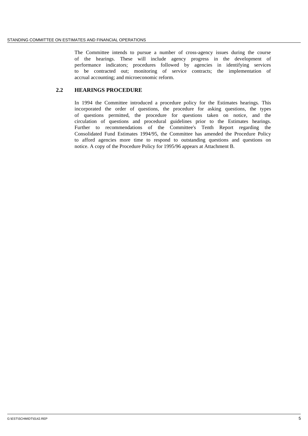The Committee intends to pursue a number of cross-agency issues during the course of the hearings. These will include agency progress in the development of performance indicators; procedures followed by agencies in identifying services to be contracted out; monitoring of service contracts; the implementation of accrual accounting; and microeconomic reform.

# **2.2 HEARINGS PROCEDURE**

In 1994 the Committee introduced a procedure policy for the Estimates hearings. This incorporated the order of questions, the procedure for asking questions, the types of questions permitted, the procedure for questions taken on notice, and the circulation of questions and procedural guidelines prior to the Estimates hearings. Further to recommendations of the Committee's Tenth Report regarding the Consolidated Fund Estimates 1994/95, the Committee has amended the Procedure Policy to afford agencies more time to respond to outstanding questions and questions on notice. A copy of the Procedure Policy for 1995/96 appears at Attachment B.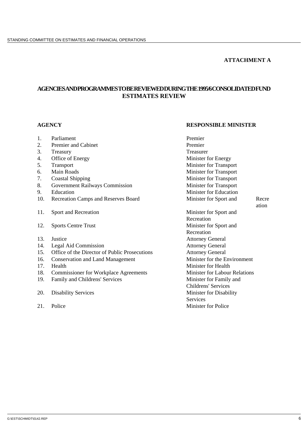# **ATTACHMENT A**

# **AGENCIES AND PROGRAMMES TO BE REVIEWED DURING THE 1995/6 CONSOLIDATED FUND ESTIMATES REVIEW**

# **AGENCY RESPONSIBLE MINISTER**

- 1. Parliament Premier<br>
2 Premier and Cabinet Premier<br>
Premier 2. Premier and Cabinet 3. Treasury Treasurer 4. Office of Energy Minister for Energy 5. Transport Minister for Transport 6. Main Roads Minister for Transport 7. Coastal Shipping<br>
8. Government Railways Commission<br>
Minister for Transport<br>
Minister for Transport 8. Government Railways Commission 9. Education Minister for Education 10. Recreation Camps and Reserves Board Minister for Sport and Recre ation 11. Sport and Recreation Minister for Sport and Recreation 12. Sports Centre Trust Minister for Sport and Recreation 13. Justice Attorney General 14. Legal Aid Commission Attorney General 15. Office of the Director of Public Prosecutions<br>
16. Conservation and Land Management<br>
Minister for the Environment 16. Conservation and Land Management 17. Health **Minister for Health** Minister for Health 18. Commissioner for Workplace Agreements Minister for Labour Relations 19. Family and Childrens' Services Minister for Family and Childrens' Services 20. Disability Services Minister for Disability **Services** 21. Police Minister for Police
-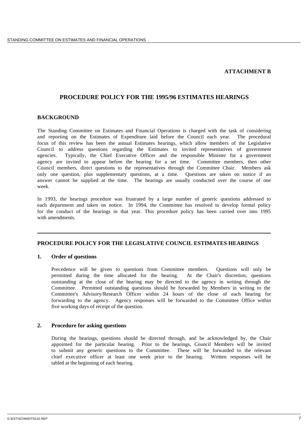### **ATTACHMENT B**

# **PROCEDURE POLICY FOR THE 1995/96 ESTIMATES HEARINGS**

### **BACKGROUND**

The Standing Committee on Estimates and Financial Operations is charged with the task of considering and reporting on the Estimates of Expenditure laid before the Council each year. The procedural focus of this review has been the annual Estimates hearings, which allow members of the Legislative Council to address questions regarding the Estimates to invited representatives of government agencies. Typically, the Chief Executive Officer and the responsible Minister for a government agency are invited to appear before the hearing for a set time. Committee members, then other Council members, direct questions to the representatives through the Committee Chair. Members ask only one question, plus supplementary questions, at a time. Questions are taken on notice if an answer cannot be supplied at the time. The hearings are usually conducted over the course of one week.

In 1993, the hearings procedure was frustrated by a large number of generic questions addressed to each department and taken on notice. In 1994, the Committee has resolved to develop formal policy for the conduct of the hearings in that year. This procedure policy has been carried over into 1995 with amendments.

# **PROCEDURE POLICY FOR THE LEGISLATIVE COUNCIL ESTIMATES HEARINGS**

#### **1. Order of questions**

Precedence will be given to questions from Committee members. Questions will only be permitted during the time allocated for the hearing. At the Chair's discretion, questions outstanding at the close of the hearing may be directed to the agency in writing through the Committee. Permitted outstanding questions should be forwarded by Members in writing to the Committee's Advisory/Research Officer within 24 hours of the close of each hearing for forwarding to the agency. Agency responses will be forwarded to the Committee Office within five working days of receipt of the question.

### **2. Procedure for asking questions**

During the hearings, questions should be directed through, and be acknowledged by, the Chair appointed for the particular hearing. Prior to the hearings, Council Members will be invited to submit any generic questions to the Committee. These will be forwarded to the relevant chief executive officer at least one week prior to the hearing. Written responses will be tabled at the beginning of each hearing.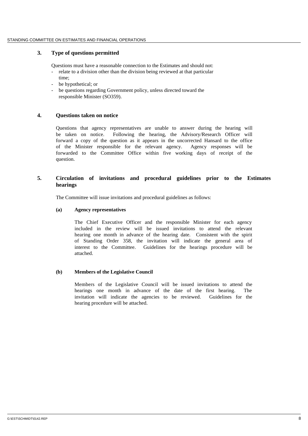### **3. Type of questions permitted**

Questions must have a reasonable connection to the Estimates and should not: relate to a division other than the division being reviewed at that particular time;

- be hypothetical; or
- be questions regarding Government policy, unless directed toward the responsible Minister (SO359).

#### **4. Questions taken on notice**

Questions that agency representatives are unable to answer during the hearing will be taken on notice. Following the hearing, the Advisory/Research Officer will forward a copy of the question as it appears in the uncorrected Hansard to the office of the Minister responsible for the relevant agency. Agency responses will be forwarded to the Committee Office within five working days of receipt of the question.

# **5. Circulation of invitations and procedural guidelines prior to the Estimates hearings**

The Committee will issue invitations and procedural guidelines as follows:

#### **(a) Agency representatives**

The Chief Executive Officer and the responsible Minister for each agency included in the review will be issued invitations to attend the relevant hearing one month in advance of the hearing date. Consistent with the spirit of Standing Order 358, the invitation will indicate the general area of interest to the Committee. Guidelines for the hearings procedure will be attached.

#### **(b) Members of the Legislative Council**

Members of the Legislative Council will be issued invitations to attend the hearings one month in advance of the date of the first hearing. The invitation will indicate the agencies to be reviewed. Guidelines for the hearing procedure will be attached.